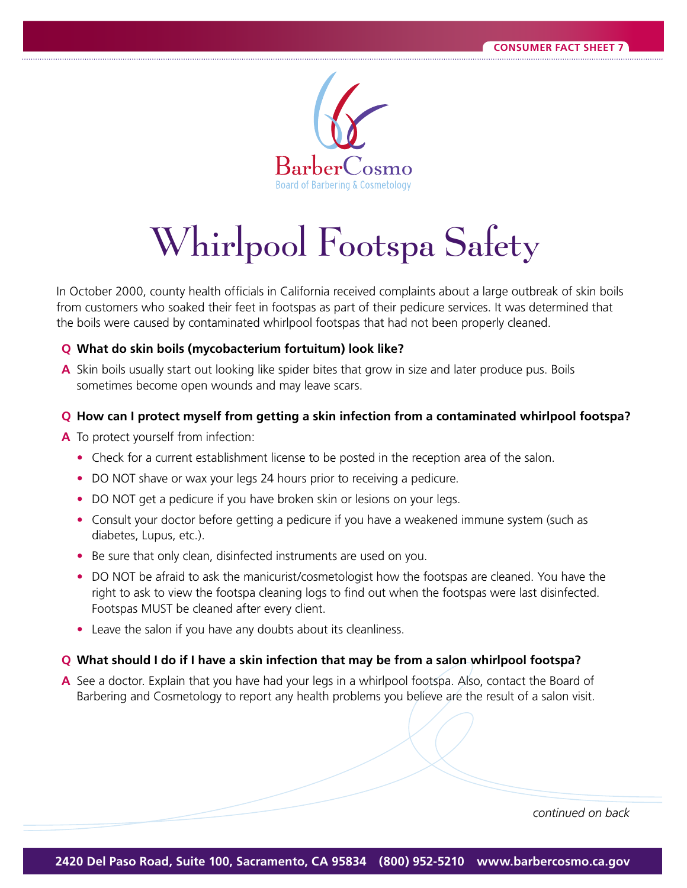

# Whirlpool Footspa Safety

In October 2000, county health officials in California received complaints about a large outbreak of skin boils from customers who soaked their feet in footspas as part of their pedicure services. It was determined that the boils were caused by contaminated whirlpool footspas that had not been properly cleaned.

### **Q** What do skin boils (mycobacterium fortuitum) look like?

A Skin boils usually start out looking like spider bites that grow in size and later produce pus. Boils sometimes become open wounds and may leave scars.

## **Q** How can I protect myself from getting a skin infection from a contaminated whirlpool footspa?

- **A** To protect yourself from infection:
	- Check for a current establishment license to be posted in the reception area of the salon.
	- DO NOT shave or wax your legs 24 hours prior to receiving a pedicure.
	- DO NOT get a pedicure if you have broken skin or lesions on your legs.
	- Consult your doctor before getting a pedicure if you have a weakened immune system (such as diabetes, Lupus, etc.).
	- Be sure that only clean, disinfected instruments are used on you.
	- DO NOT be afraid to ask the manicurist/cosmetologist how the footspas are cleaned. You have the right to ask to view the footspa cleaning logs to find out when the footspas were last disinfected. Footspas MUST be cleaned after every client.
	- Leave the salon if you have any doubts about its cleanliness.

### **Q** What should I do if I have a skin infection that may be from a salon whirlpool footspa?

**A** See a doctor. Explain that you have had your legs in a whirlpool footspa. Also, contact the Board of Barbering and Cosmetology to report any health problems you believe are the result of a salon visit.

*continued on back*